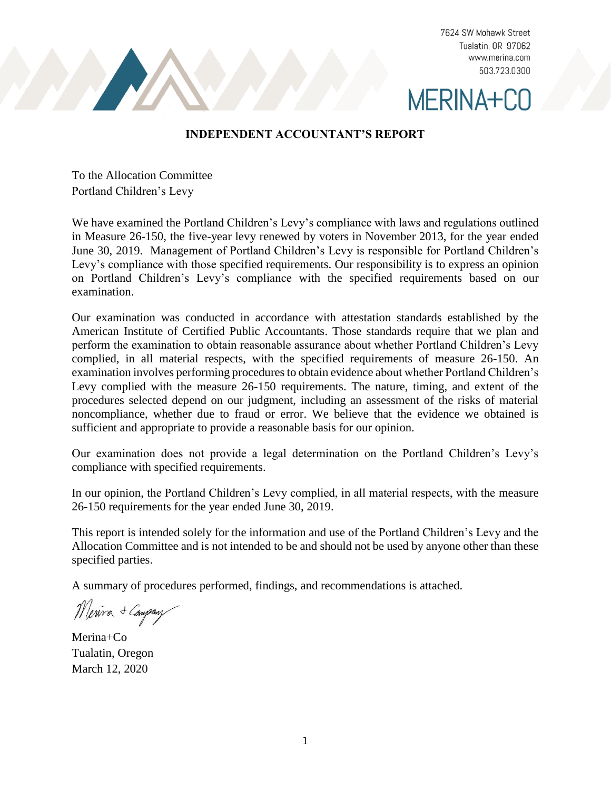7624 SW Mohawk Street Tualatin, OR 97062 www.merina.com 503.723.0300



### **INDEPENDENT ACCOUNTANT'S REPORT**

To the Allocation Committee Portland Children's Levy

We have examined the Portland Children's Levy's compliance with laws and regulations outlined in Measure 26-150, the five-year levy renewed by voters in November 2013, for the year ended June 30, 2019. Management of Portland Children's Levy is responsible for Portland Children's Levy's compliance with those specified requirements. Our responsibility is to express an opinion on Portland Children's Levy's compliance with the specified requirements based on our examination.

Our examination was conducted in accordance with attestation standards established by the American Institute of Certified Public Accountants. Those standards require that we plan and perform the examination to obtain reasonable assurance about whether Portland Children's Levy complied, in all material respects, with the specified requirements of measure 26-150. An examination involves performing procedures to obtain evidence about whether Portland Children's Levy complied with the measure 26-150 requirements. The nature, timing, and extent of the procedures selected depend on our judgment, including an assessment of the risks of material noncompliance, whether due to fraud or error. We believe that the evidence we obtained is sufficient and appropriate to provide a reasonable basis for our opinion.

Our examination does not provide a legal determination on the Portland Children's Levy's compliance with specified requirements.

In our opinion, the Portland Children's Levy complied, in all material respects, with the measure 26-150 requirements for the year ended June 30, 2019.

This report is intended solely for the information and use of the Portland Children's Levy and the Allocation Committee and is not intended to be and should not be used by anyone other than these specified parties.

A summary of procedures performed, findings, and recommendations is attached.

Merina + Company

Merina+Co Tualatin, Oregon March 12, 2020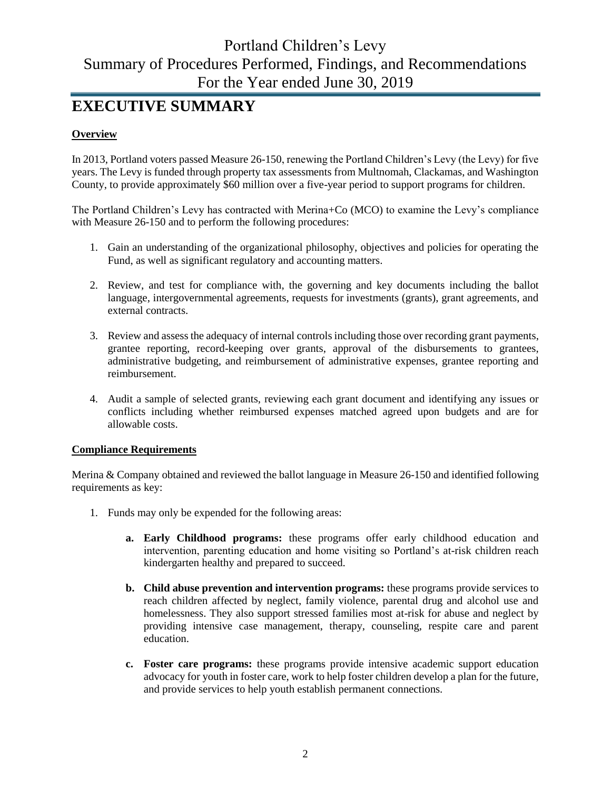# **EXECUTIVE SUMMARY**

### **Overview**

In 2013, Portland voters passed Measure 26-150, renewing the Portland Children's Levy (the Levy) for five years. The Levy is funded through property tax assessments from Multnomah, Clackamas, and Washington County, to provide approximately \$60 million over a five-year period to support programs for children.

The Portland Children's Levy has contracted with Merina+Co (MCO) to examine the Levy's compliance with Measure 26-150 and to perform the following procedures:

- 1. Gain an understanding of the organizational philosophy, objectives and policies for operating the Fund, as well as significant regulatory and accounting matters.
- 2. Review, and test for compliance with, the governing and key documents including the ballot language, intergovernmental agreements, requests for investments (grants), grant agreements, and external contracts.
- 3. Review and assess the adequacy of internal controls including those over recording grant payments, grantee reporting, record-keeping over grants, approval of the disbursements to grantees, administrative budgeting, and reimbursement of administrative expenses, grantee reporting and reimbursement.
- 4. Audit a sample of selected grants, reviewing each grant document and identifying any issues or conflicts including whether reimbursed expenses matched agreed upon budgets and are for allowable costs.

### **Compliance Requirements**

Merina & Company obtained and reviewed the ballot language in Measure 26-150 and identified following requirements as key:

- 1. Funds may only be expended for the following areas:
	- **a. Early Childhood programs:** these programs offer early childhood education and intervention, parenting education and home visiting so Portland's at-risk children reach kindergarten healthy and prepared to succeed.
	- **b. Child abuse prevention and intervention programs:** these programs provide services to reach children affected by neglect, family violence, parental drug and alcohol use and homelessness. They also support stressed families most at-risk for abuse and neglect by providing intensive case management, therapy, counseling, respite care and parent education.
	- **c. Foster care programs:** these programs provide intensive academic support education advocacy for youth in foster care, work to help foster children develop a plan for the future, and provide services to help youth establish permanent connections.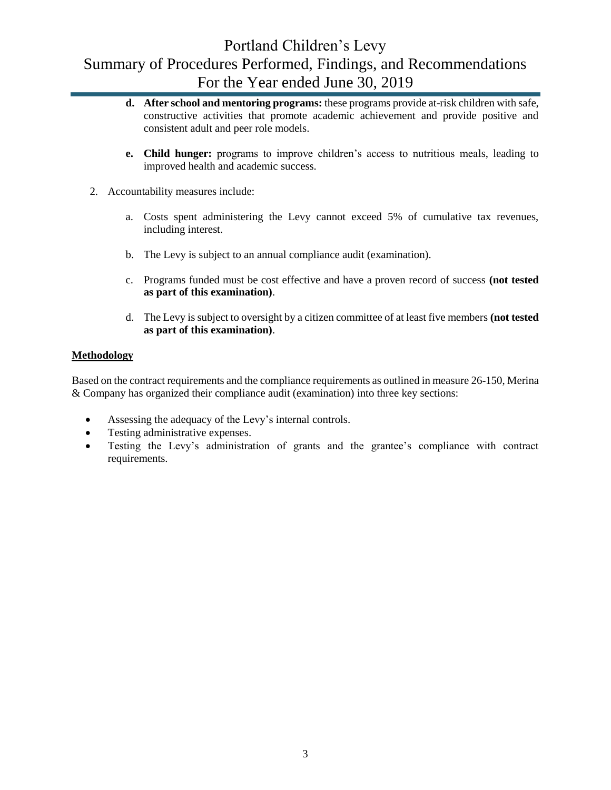- **d. After school and mentoring programs:** these programs provide at-risk children with safe, constructive activities that promote academic achievement and provide positive and consistent adult and peer role models.
- **e. Child hunger:** programs to improve children's access to nutritious meals, leading to improved health and academic success.
- 2. Accountability measures include:
	- a. Costs spent administering the Levy cannot exceed 5% of cumulative tax revenues, including interest.
	- b. The Levy is subject to an annual compliance audit (examination).
	- c. Programs funded must be cost effective and have a proven record of success **(not tested as part of this examination)**.
	- d. The Levy is subject to oversight by a citizen committee of at least five members **(not tested as part of this examination)**.

### **Methodology**

Based on the contract requirements and the compliance requirements as outlined in measure 26-150, Merina & Company has organized their compliance audit (examination) into three key sections:

- Assessing the adequacy of the Levy's internal controls.
- Testing administrative expenses.
- Testing the Levy's administration of grants and the grantee's compliance with contract requirements.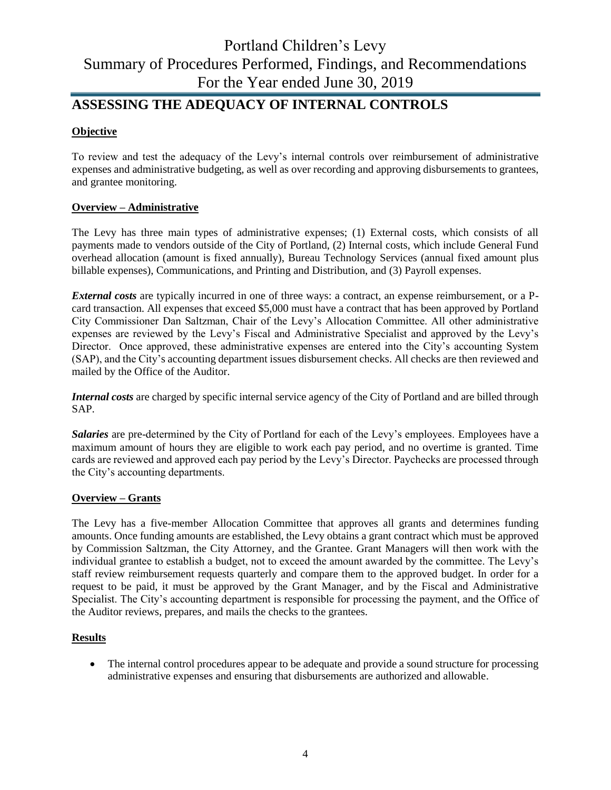## **ASSESSING THE ADEQUACY OF INTERNAL CONTROLS**

### **Objective**

To review and test the adequacy of the Levy's internal controls over reimbursement of administrative expenses and administrative budgeting, as well as over recording and approving disbursements to grantees, and grantee monitoring.

### **Overview – Administrative**

The Levy has three main types of administrative expenses; (1) External costs, which consists of all payments made to vendors outside of the City of Portland, (2) Internal costs, which include General Fund overhead allocation (amount is fixed annually), Bureau Technology Services (annual fixed amount plus billable expenses), Communications, and Printing and Distribution, and (3) Payroll expenses.

*External costs* are typically incurred in one of three ways: a contract, an expense reimbursement, or a Pcard transaction. All expenses that exceed \$5,000 must have a contract that has been approved by Portland City Commissioner Dan Saltzman, Chair of the Levy's Allocation Committee. All other administrative expenses are reviewed by the Levy's Fiscal and Administrative Specialist and approved by the Levy's Director. Once approved, these administrative expenses are entered into the City's accounting System (SAP), and the City's accounting department issues disbursement checks. All checks are then reviewed and mailed by the Office of the Auditor.

*Internal costs* are charged by specific internal service agency of the City of Portland and are billed through SAP.

*Salaries* are pre-determined by the City of Portland for each of the Levy's employees. Employees have a maximum amount of hours they are eligible to work each pay period, and no overtime is granted. Time cards are reviewed and approved each pay period by the Levy's Director. Paychecks are processed through the City's accounting departments.

#### **Overview – Grants**

The Levy has a five-member Allocation Committee that approves all grants and determines funding amounts. Once funding amounts are established, the Levy obtains a grant contract which must be approved by Commission Saltzman, the City Attorney, and the Grantee. Grant Managers will then work with the individual grantee to establish a budget, not to exceed the amount awarded by the committee. The Levy's staff review reimbursement requests quarterly and compare them to the approved budget. In order for a request to be paid, it must be approved by the Grant Manager, and by the Fiscal and Administrative Specialist. The City's accounting department is responsible for processing the payment, and the Office of the Auditor reviews, prepares, and mails the checks to the grantees.

#### **Results**

• The internal control procedures appear to be adequate and provide a sound structure for processing administrative expenses and ensuring that disbursements are authorized and allowable.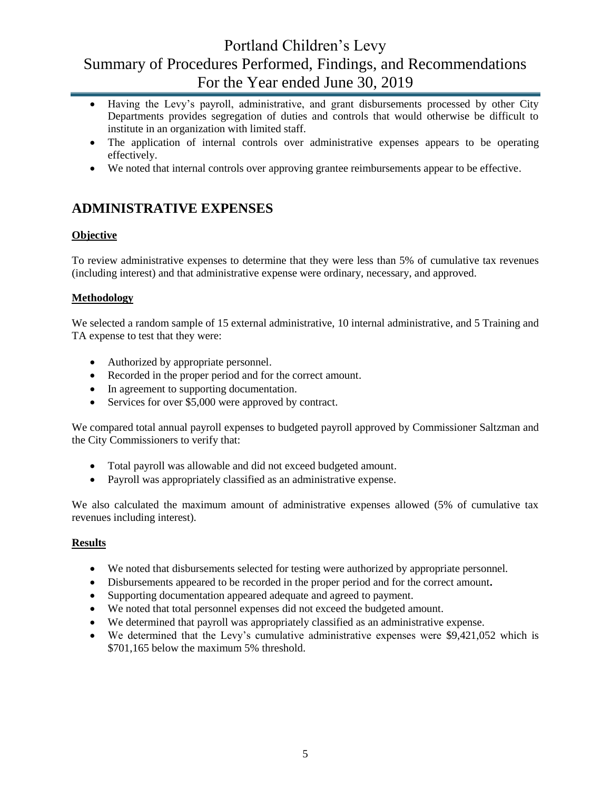- Having the Levy's payroll, administrative, and grant disbursements processed by other City Departments provides segregation of duties and controls that would otherwise be difficult to institute in an organization with limited staff.
- The application of internal controls over administrative expenses appears to be operating effectively.
- We noted that internal controls over approving grantee reimbursements appear to be effective.

## **ADMINISTRATIVE EXPENSES**

### **Objective**

To review administrative expenses to determine that they were less than 5% of cumulative tax revenues (including interest) and that administrative expense were ordinary, necessary, and approved.

### **Methodology**

We selected a random sample of 15 external administrative, 10 internal administrative, and 5 Training and TA expense to test that they were:

- Authorized by appropriate personnel.
- Recorded in the proper period and for the correct amount.
- In agreement to supporting documentation.
- Services for over \$5,000 were approved by contract.

We compared total annual payroll expenses to budgeted payroll approved by Commissioner Saltzman and the City Commissioners to verify that:

- Total payroll was allowable and did not exceed budgeted amount.
- Payroll was appropriately classified as an administrative expense.

We also calculated the maximum amount of administrative expenses allowed (5% of cumulative tax revenues including interest).

### **Results**

- We noted that disbursements selected for testing were authorized by appropriate personnel.
- Disbursements appeared to be recorded in the proper period and for the correct amount**.**
- Supporting documentation appeared adequate and agreed to payment.
- We noted that total personnel expenses did not exceed the budgeted amount.
- We determined that payroll was appropriately classified as an administrative expense.
- We determined that the Levy's cumulative administrative expenses were \$9,421,052 which is \$701,165 below the maximum 5% threshold.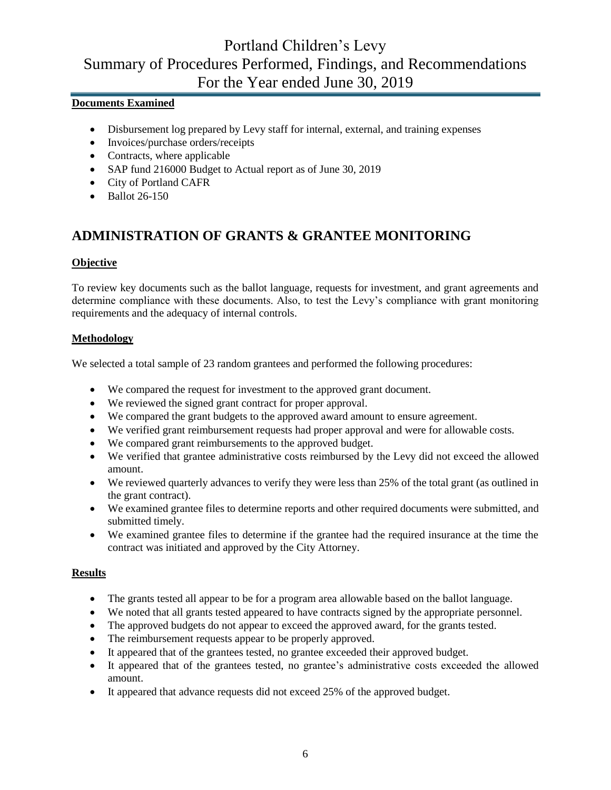### **Documents Examined**

- Disbursement log prepared by Levy staff for internal, external, and training expenses
- Invoices/purchase orders/receipts
- Contracts, where applicable
- SAP fund 216000 Budget to Actual report as of June 30, 2019
- City of Portland CAFR
- Ballot 26-150

## **ADMINISTRATION OF GRANTS & GRANTEE MONITORING**

### **Objective**

To review key documents such as the ballot language, requests for investment, and grant agreements and determine compliance with these documents. Also, to test the Levy's compliance with grant monitoring requirements and the adequacy of internal controls.

### **Methodology**

We selected a total sample of 23 random grantees and performed the following procedures:

- We compared the request for investment to the approved grant document.
- We reviewed the signed grant contract for proper approval.
- We compared the grant budgets to the approved award amount to ensure agreement.
- We verified grant reimbursement requests had proper approval and were for allowable costs.
- We compared grant reimbursements to the approved budget.
- We verified that grantee administrative costs reimbursed by the Levy did not exceed the allowed amount.
- We reviewed quarterly advances to verify they were less than 25% of the total grant (as outlined in the grant contract).
- We examined grantee files to determine reports and other required documents were submitted, and submitted timely.
- We examined grantee files to determine if the grantee had the required insurance at the time the contract was initiated and approved by the City Attorney.

#### **Results**

- The grants tested all appear to be for a program area allowable based on the ballot language.
- We noted that all grants tested appeared to have contracts signed by the appropriate personnel.
- The approved budgets do not appear to exceed the approved award, for the grants tested.
- The reimbursement requests appear to be properly approved.
- It appeared that of the grantees tested, no grantee exceeded their approved budget.
- It appeared that of the grantees tested, no grantee's administrative costs exceeded the allowed amount.
- It appeared that advance requests did not exceed 25% of the approved budget.